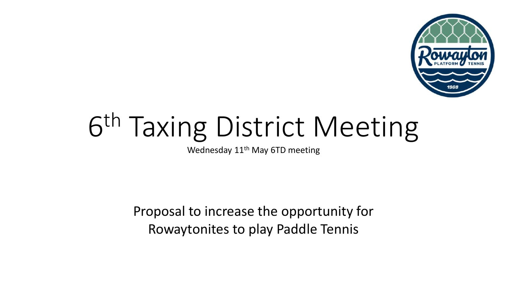

# 6 th Taxing District Meeting

Wednesday 11<sup>th</sup> May 6TD meeting

Proposal to increase the opportunity for Rowaytonites to play Paddle Tennis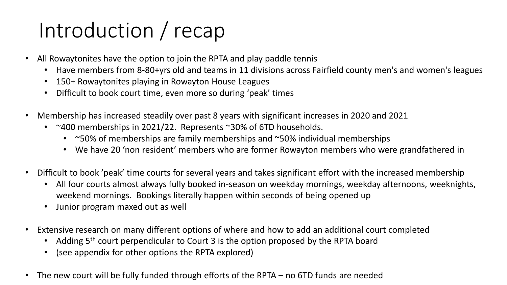## Introduction / recap

- All Rowaytonites have the option to join the RPTA and play paddle tennis
	- Have members from 8-80+yrs old and teams in 11 divisions across Fairfield county men's and women's leagues
	- 150+ Rowaytonites playing in Rowayton House Leagues
	- Difficult to book court time, even more so during 'peak' times
- Membership has increased steadily over past 8 years with significant increases in 2020 and 2021
	- ~400 memberships in 2021/22. Represents ~30% of 6TD households.
		- ~50% of memberships are family memberships and ~50% individual memberships
		- We have 20 'non resident' members who are former Rowayton members who were grandfathered in
- Difficult to book 'peak' time courts for several years and takes significant effort with the increased membership
	- All four courts almost always fully booked in-season on weekday mornings, weekday afternoons, weeknights, weekend mornings. Bookings literally happen within seconds of being opened up
	- Junior program maxed out as well
- Extensive research on many different options of where and how to add an additional court completed
	- Adding 5<sup>th</sup> court perpendicular to Court 3 is the option proposed by the RPTA board
	- (see appendix for other options the RPTA explored)
- The new court will be fully funded through efforts of the RPTA  $-$  no 6TD funds are needed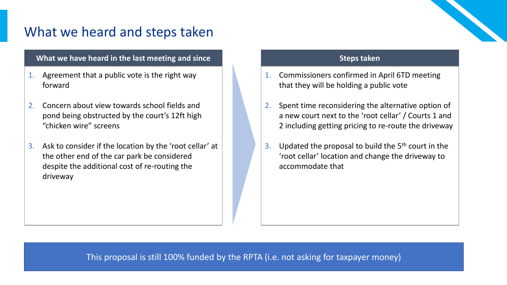### What we heard and steps taken

#### **What we have heard in the last meeting and since**

- 1. Agreement that a public vote is the right way forward
- 2. Concern about view towards school fields and pond being obstructed by the court's 12ft high "chicken wire" screens
- 3. Ask to consider if the location by the 'root cellar' at the other end of the car park be considered despite the additional cost of re-routing the driveway

#### **Steps taken**

- 1. Commissioners confirmed in April 6TD meeting that they will be holding a public vote
- 2. Spent time reconsidering the alternative option of a new court next to the 'root cellar' / Courts 1 and 2 including getting pricing to re-route the driveway
- 3. Updated the proposal to build the  $5<sup>th</sup>$  court in the 'root cellar' location and change the driveway to accommodate that

This proposal is still 100% funded by the RPTA (i.e. not asking for taxpayer money)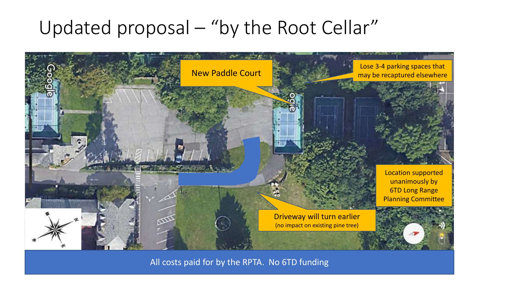### Updated proposal – "by the Root Cellar"



All costs paid for by the RPTA. No 6TD funding